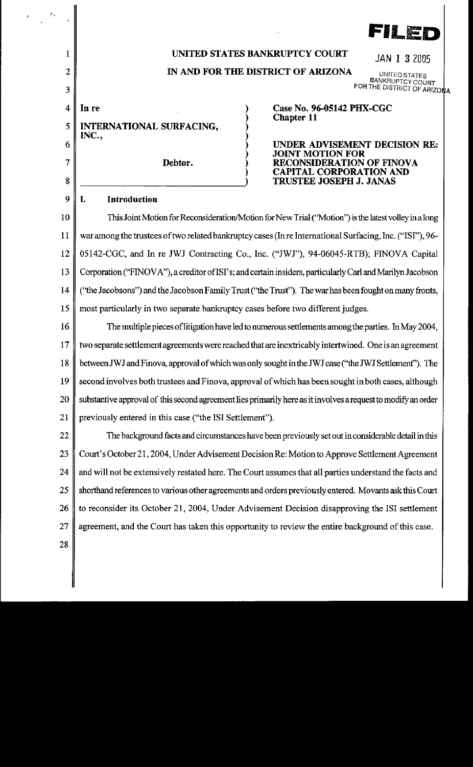| $\mathcal{E}_{\mathcal{A}}$ |                                                                                                               |                                                                  |
|-----------------------------|---------------------------------------------------------------------------------------------------------------|------------------------------------------------------------------|
|                             |                                                                                                               | FILED                                                            |
| 1                           | UNITED STATES BANKRUPTCY COURT<br>JAN 1 3 2005                                                                |                                                                  |
| 2<br>3                      | IN AND FOR THE DISTRICT OF ARIZONA<br>UNITED STATES<br><b>BANKRUPTCY COURT</b><br>FOR THE DISTRICT OF ARIZONA |                                                                  |
| $\overline{4}$              | In re                                                                                                         | Case No. 96-05142 PHX-CGC                                        |
| 5                           | <b>INTERNATIONAL SURFACING,</b>                                                                               | <b>Chapter 11</b>                                                |
| 6                           | INC.,                                                                                                         | UNDER ADVISEMENT DECISION RE:                                    |
| 7                           | Debtor.                                                                                                       | <b>JOINT MOTION FOR</b><br>RECONSIDERATION OF FINOVA             |
| 8                           |                                                                                                               | <b>CAPITAL CORPORATION AND</b><br><b>TRUSTEE JOSEPH J. JANAS</b> |
| 9                           | Introduction<br>L.                                                                                            |                                                                  |
| 10                          | This Joint Motion for Reconsideration/Motion for New Trial ("Motion") is the latest volley in a long          |                                                                  |
| 11                          | war among the trustees of two related bankruptcy cases (In re International Surfacing, Inc. ("ISI"), 96-      |                                                                  |
| 12                          | 05142-CGC, and In re JWJ Contracting Co., Inc. ("JWJ"), 94-06045-RTB); FINOVA Capital                         |                                                                  |
| 13                          | Corporation ("FINOVA"), a creditor of ISI's; and certain insiders, particularly Carl and Marilyn Jacobson     |                                                                  |
| 14                          | ("the Jacobsons") and the Jacobson Family Trust ("the Trust"). The war has been fought on many fronts,        |                                                                  |
| 15                          | most particularly in two separate bankruptcy cases before two different judges.                               |                                                                  |
| 16                          | The multiple pieces of litigation have led to numerous settlements among the parties. In May 2004,            |                                                                  |
| 17                          | two separate settlement agreements were reached that are inextricably intertwined. One is an agreement        |                                                                  |
| 18                          | between JWJ and Finova, approval of which was only sought in the JWJ case ("the JWJ Settlement"). The         |                                                                  |
| 19                          | second involves both trustees and Finova, approval of which has been sought in both cases, although           |                                                                  |
| 20                          | substantive approval of this second agreement lies primarily here as it involves a request to modify an order |                                                                  |
| 21                          | previously entered in this case ("the ISI Settlement").                                                       |                                                                  |
| 22                          | The background facts and circumstances have been previously set out in considerable detail in this            |                                                                  |
| 23                          | Court's October 21, 2004, Under Advisement Decision Re: Motion to Approve Settlement Agreement                |                                                                  |
| 24                          | and will not be extensively restated here. The Court assumes that all parties understand the facts and        |                                                                  |
| 25                          | shorthand references to various other agreements and orders previously entered. Movants ask this Court        |                                                                  |
| 26                          | to reconsider its October 21, 2004, Under Advisement Decision disapproving the ISI settlement                 |                                                                  |
| 27                          | agreement, and the Court has taken this opportunity to review the entire background of this case.             |                                                                  |
| 28                          |                                                                                                               |                                                                  |
|                             |                                                                                                               |                                                                  |
|                             |                                                                                                               |                                                                  |

 $\frac{1}{2} \frac{1}{2} \frac{1}{2} \frac{1}{2}$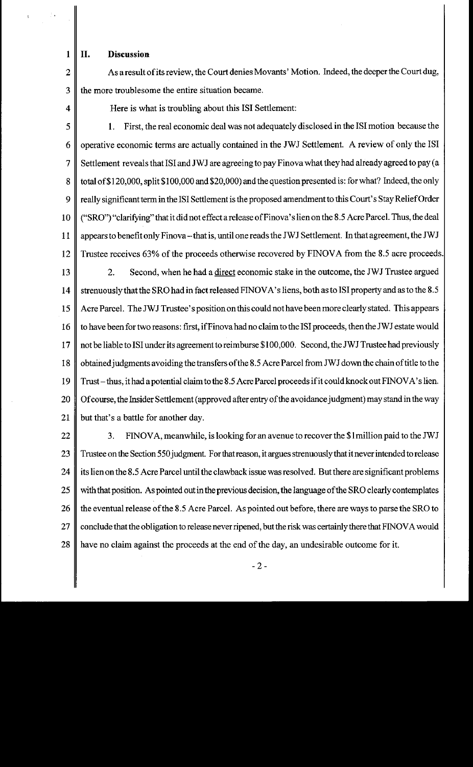**1 II. Discussion** 

2  $\parallel$  As a result of its review, the Court denies Movants' Motion. Indeed, the deeper the Court dug,  $3 \parallel$  the more troublesome the entire situation became.

4 Here is what is troubling about this ISI Settlement:

5 **1.** First, the real economic deal was not adequately disclosed in the lSI motion because the 6 operative economic terms are actually contained in the JWJ Settlement. A review of only the lSI 7 Settlement reveals that ISI and JWJ are agreeing to pay Finova what they had already agreed to pay (a 8 total of \$120,000, split \$100,000 and \$20,000) and the question presented is: for what? Indeed, the only 9 really significant term in the ISI Settlement is the proposed amendment to this Court's Stay Relief Order 10 ("SRO") "clarifying" that it did not effect a release ofFinova' s lien on the 8.5 Acre Parcel. Thus, the deal 11 appears to benefit only Finova-that is, until one reads the JWJ Settlement. In that agreement, the JWJ 12 Trustee receives 63% of the proceeds otherwise recovered by FINOVA from the 8.5 acre proceeds. 13 2. Second, when he had a <u>direct</u> economic stake in the outcome, the JWJ Trustee argued 14 Strenuously that the SRO had in fact released FINOVA's liens, both as to ISI property and as to the 8.5 15 Acre Parcel. The JWJ Trustee's position on this could not have been more clearly stated. This appears 16 | to have been for two reasons: first, if Finova had no claim to the ISI proceeds, then the JWJ estate would 17  $\parallel$  not be liable to ISI under its agreement to reimburse \$100,000. Second, the JWJ Trustee had previously 18 obtained judgments avoiding the transfers of the 8.5 Acre Parcel from JWJ down the chain of title to the 19 Trust-thus, it had a potential claim to the 8.5 Acre Parcel proceeds if it could knock out FINOVA's lien. 20 | Of course, the Insider Settlement (approved after entry of the avoidance judgment) may stand in the way 21  $\parallel$  but that's a battle for another day.

 $22 \parallel$  3. FINOVA, meanwhile, is looking for an avenue to recover the \$1 million paid to the JWJ 23 Trustee on the Section 550 judgment. For that reason, it argues strenuously that it never intended to release 24  $\parallel$  its lien on the 8.5 Acre Parcel until the clawback issue was resolved. But there are significant problems 25 with that position. As pointed out in the previous decision, the language of the SRO clearly contemplates 26  $\parallel$  the eventual release of the 8.5 Acre Parcel. As pointed out before, there are ways to parse the SRO to 27 | conclude that the obligation to release never ripened, but the risk was certainly there that FINOVA would 28 have no claim against the proceeds at the end of the day, an undesirable outcome for it.

-2-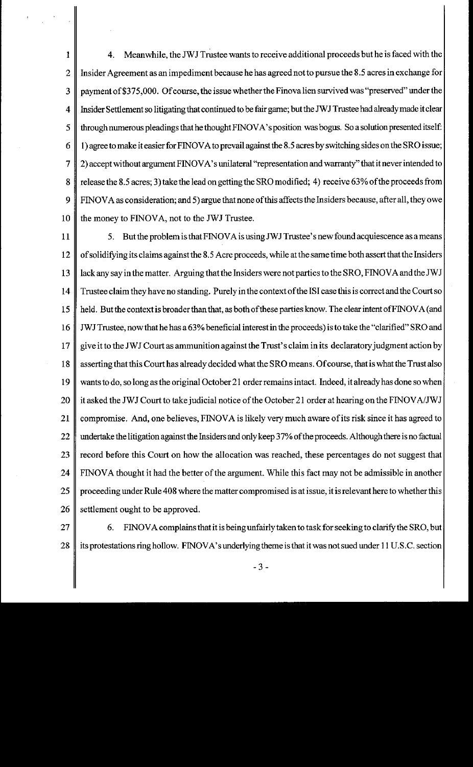1 4. Meanwhile, the JWJ Trustee wants to receive additional proceeds but he is faced with the 2 | Insider Agreement as an impediment because he has agreed not to pursue the 8.5 acres in exchange for 3 payment of \$375,000. Of course, the issue whether the Finovalien survived was "preserved" under the 4 Insider Settlement so litigating that continued to be fair game; but the JWJ Trustee had already made it clear 5 through numerous pleadings that he thought FINOV A's position was bogus. So a solution presented itself: 6 | 1) agree to make it easier for FINOVA to prevail against the 8.5 acres by switching sides on the SRO issue; 7 2) accept without argument FINOV A's unilateral "representation and warranty" that it never intended to 8 release the 8.5 acres; 3) take the lead on getting the SRO modified; 4) receive 63% of the proceeds from 9 FINOVA as consideration; and 5) argue that none of this affects the Insiders because, after all, they owe 10  $\parallel$  the money to FINOVA, not to the JWJ Trustee.

11  $\parallel$  5. But the problem is that FINOVA is using JWJ Trustee's new found acquiescence as a means 12 | of solidifying its claims against the 8.5 Acre proceeds, while at the same time both assert that the Insiders 13  $\parallel$  lack any say in the matter. Arguing that the Insiders were not parties to the SRO, FINOVA and the JWJ 14 Trustee claim they have no standing. Purely in the context of the ISI case this is correct and the Court so 15  $\parallel$  held. But the context is broader than that, as both of these parties know. The clear intent of FINOVA (and 16 JWJ Trustee, now that he has a 63% beneficial interest in the proceeds) is to take the "clarified" SRO and 17 give it to the JWJ Court as ammunition against the Trust's claim in its declaratory judgment action by 18 asserting that this Court has already decided what the SRO means. Of course, that is what the Trust also 19 wants to do, so long as the original October 21 order remains intact. Indeed, it already has done so when 20  $\parallel$  it asked the JWJ Court to take judicial notice of the October 21 order at hearing on the FINOVA/JWJ 21 compromise. And, one believes, FINOVA is likely very much aware of its risk since it has agreed to 22 undertake the litigation against the Insiders and only keep 37% of the proceeds. Although there is no factual 23  $\parallel$  record before this Court on how the allocation was reached, these percentages do not suggest that 24 FINOVA thought it had the better of the argument. While this fact may not be admissible in another 25 proceeding under Rule 408 where the matter compromised is at issue, it is relevant here to whether this  $26 \parallel$  settlement ought to be approved.

- $27 \parallel$  6. FINOVA complains that it is being unfairly taken to task for seeking to clarify the SRO, but 28 its protestations ring hollow. FINOVA's underlying theme is that it was not sued under 11 U.S.C. section
	- 3-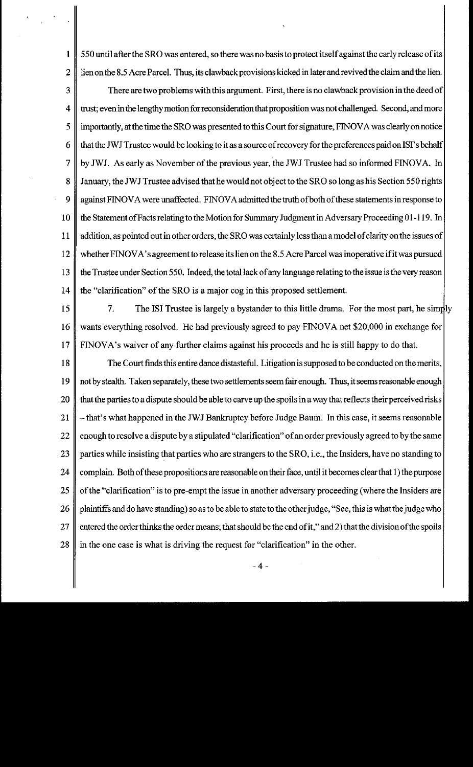1 550 until after the SRO was entered, so there was no basis to protect itself against the early release of its 2 is lien on the 8.5 Acre Parcel. Thus, its clawback provisions kicked in later and revived the claim and the lien.

 $3 \parallel$  There are two problems with this argument. First, there is no clawback provision in the deed of 4 trust; even in the lengthy motion for reconsideration that proposition was not challenged. Second, and more 5 | importantly, at the time the SRO was presented to this Court for signature, FINOVA was clearly on notice 6  $\parallel$  that the JWJ Trustee would be looking to it as a source of recovery for the preferences paid on ISI's behalf 7 by JWJ. As early as November of the previous year, the JWJ Trustee had so informed FINOVA. In 8 January, the JWJ Trustee advised that he would not object to the SRO so long as his Section 550 rights 9 | against FINOVA were unaffected. FINOVA admitted the truth of both of these statements in response to 10 the Statement of Facts relating to the Motion for Summary Judgment in Adversary Proceeding 01-119. In 11  $\parallel$  addition, as pointed out in other orders, the SRO was certainly less than a model of clarity on the issues of 12 whether FINOVA's agreement to release its lien on the 8.5 Acre Parcel was inoperative if it was pursued 13 the Trustee under Section 550. Indeed, the total lack of any language relating to the issue is the very reason 14  $\parallel$  the "clarification" of the SRO is a major cog in this proposed settlement.

15  $\parallel$  7. The ISI Trustee is largely a bystander to this little drama. For the most part, he simply 16 | wants everything resolved. He had previously agreed to pay FINOVA net \$20,000 in exchange for 17 FINOVA's waiver of any further claims against his proceeds and he is still happy to do that.

18 The Court finds this entire dance distasteful. Litigation is supposed to be conducted on the merits, 19  $\parallel$  not by stealth. Taken separately, these two settlements seem fair enough. Thus, it seems reasonable enough 20 that the parties to a dispute should be able to carve up the spoils in a way that reflects their perceived risks 21  $\parallel$  -that's what happened in the JWJ Bankruptcy before Judge Baum. In this case, it seems reasonable 22  $\parallel$  enough to resolve a dispute by a stipulated "clarification" of an order previously agreed to by the same 23 parties while insisting that parties who are strangers to the SRO, i.e., the Insiders, have no standing to 24 complain. Both of these propositions are reasonable on their face, until it becomes clear that 1) the purpose 25 | of the "clarification" is to pre-empt the issue in another adversary proceeding (where the Insiders are 26 | plaintiffs and do have standing) so as to be able to state to the other judge, "See, this is what the judge who 27  $\parallel$  entered the order thinks the order means; that should be the end of it," and 2) that the division of the spoils 28  $\parallel$  in the one case is what is driving the request for "clarification" in the other.

-4-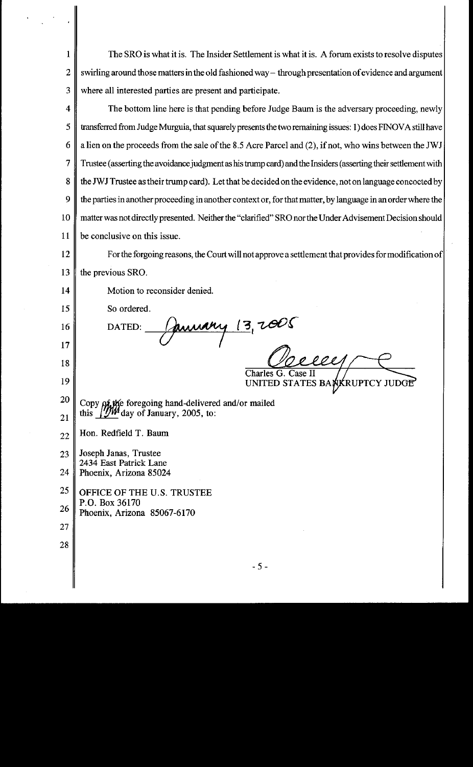| 1  | The SRO is what it is. The Insider Settlement is what it is. A forum exists to resolve disputes                |  |  |
|----|----------------------------------------------------------------------------------------------------------------|--|--|
| 2  | swirling around those matters in the old fashioned way - through presentation of evidence and argument         |  |  |
| 3  | where all interested parties are present and participate.                                                      |  |  |
| 4  | The bottom line here is that pending before Judge Baum is the adversary proceeding, newly                      |  |  |
| 5  | transferred from Judge Murguia, that squarely presents the two remaining issues: 1) does FINOVA still have     |  |  |
| 6  | a lien on the proceeds from the sale of the 8.5 Acre Parcel and (2), if not, who wins between the JWJ          |  |  |
| 7  | Trustee (asserting the avoidance judgment as his trump card) and the Insiders (asserting their settlement with |  |  |
| 8  | the JWJ Trustee as their trump card). Let that be decided on the evidence, not on language concocted by        |  |  |
| 9  | the parties in another proceeding in another context or, for that matter, by language in an order where the    |  |  |
| 10 | matter was not directly presented. Neither the "clarified" SRO nor the Under Advisement Decision should        |  |  |
| 11 | be conclusive on this issue.                                                                                   |  |  |
| 12 | For the forgoing reasons, the Court will not approve a settlement that provides for modification of            |  |  |
| 13 | the previous SRO.                                                                                              |  |  |
| 14 | Motion to reconsider denied.                                                                                   |  |  |
| 15 | So ordered.                                                                                                    |  |  |
| 16 | January 13, 2005<br>DATED:                                                                                     |  |  |
| 17 |                                                                                                                |  |  |
| 18 | reel<br>Charles G. Case II                                                                                     |  |  |
| 19 | UNITED STATES BANKRUPTCY JUDGE                                                                                 |  |  |
| 20 | Copy of the foregoing hand-delivered and/or mailed<br>this 100 day of January, 2005, to:                       |  |  |
| 21 |                                                                                                                |  |  |
| 22 | Hon. Redfield T. Baum                                                                                          |  |  |
| 23 | Joseph Janas, Trustee<br>2434 East Patrick Lane<br>Phoenix, Arizona 85024                                      |  |  |
| 24 |                                                                                                                |  |  |
| 25 | OFFICE OF THE U.S. TRUSTEE                                                                                     |  |  |
| 26 | P.O. Box 36170<br>Phoenix, Arizona 85067-6170                                                                  |  |  |
| 27 |                                                                                                                |  |  |
| 28 |                                                                                                                |  |  |
|    | $-5-$                                                                                                          |  |  |
|    |                                                                                                                |  |  |